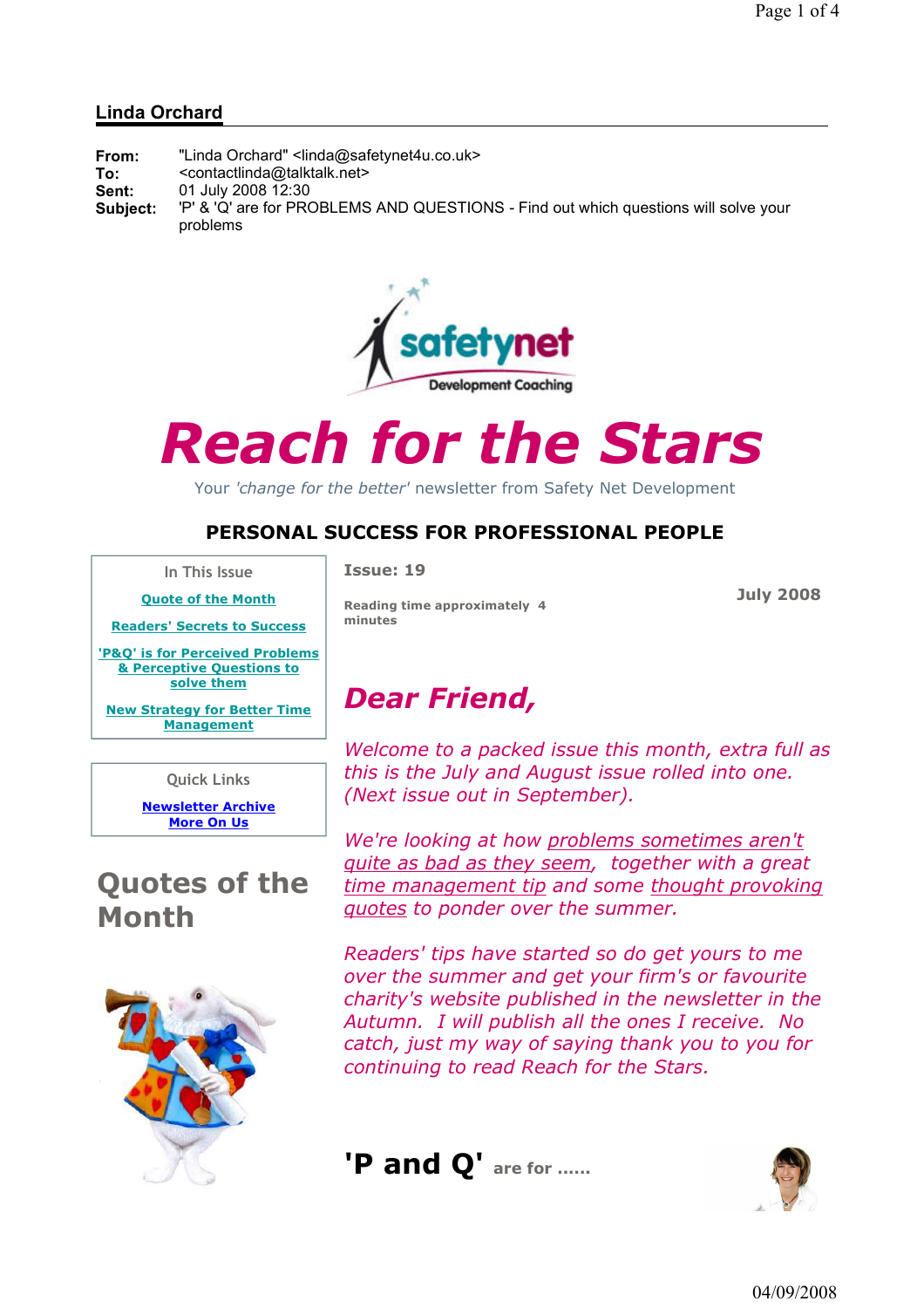### Linda Orchard

| From:    | "Linda Orchard" <linda@safetynet4u.co.uk></linda@safetynet4u.co.uk>                 |
|----------|-------------------------------------------------------------------------------------|
| To:      | <contactlinda@talktalk.net></contactlinda@talktalk.net>                             |
| Sent:    | 01 July 2008 12:30                                                                  |
| Subject: | 'P' & 'Q' are for PROBLEMS AND QUESTIONS - Find out which questions will solve your |
|          | problems                                                                            |



# Reach for the Stars

Your 'change for the better' newsletter from Safety Net Development

### PERSONAL SUCCESS FOR PROFESSIONAL PEOPLE

In This Issue

Quote of the Month

Readers' Secrets to Success

'P&Q' is for Perceived Problems & Perceptive Questions to solve them

New Strategy for Better Time **Management** 

Quick Links

Newsletter Archive More On Us

## Quotes of the Month



Issue: 19

Reading time approximately 4 minutes

July 2008

# Dear Friend,

Welcome to a packed issue this month, extra full as this is the July and August issue rolled into one. (Next issue out in September).

We're looking at how problems sometimes aren't quite as bad as they seem, together with a great time management tip and some thought provoking quotes to ponder over the summer.

Readers' tips have started so do get yours to me over the summer and get your firm's or favourite charity's website published in the newsletter in the Autumn. I will publish all the ones I receive. No catch, just my way of saying thank you to you for continuing to read Reach for the Stars.



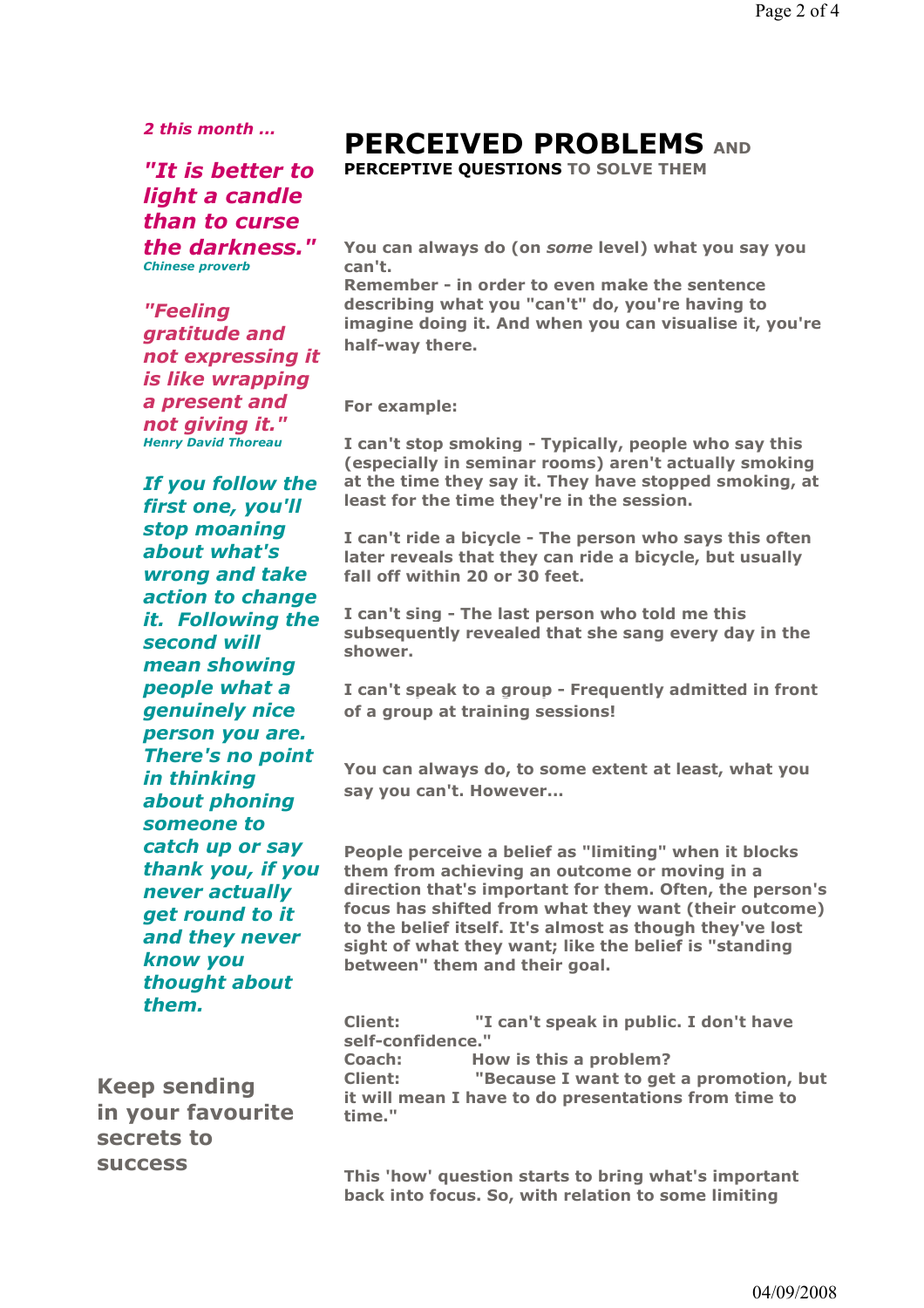2 this month ...

"It is better to light a candle than to curse the darkness." Chinese proverb

"Feeling gratitude and not expressing it is like wrapping a present and not giving it." Henry David Thoreau

If you follow the first one, you'll stop moaning about what's wrong and take action to change it. Following the second will mean showing people what a genuinely nice person you are. There's no point in thinking about phoning someone to catch up or say thank you, if you never actually get round to it and they never know you thought about them.

Keep sending in your favourite secrets to success

# PERCEIVED PROBLEMS AND

PERCEPTIVE OUESTIONS TO SOLVE THEM

You can always do (on some level) what you say you can't.

Remember - in order to even make the sentence describing what you "can't" do, you're having to imagine doing it. And when you can visualise it, you're half-way there.

For example:

I can't stop smoking - Typically, people who say this (especially in seminar rooms) aren't actually smoking at the time they say it. They have stopped smoking, at least for the time they're in the session.

I can't ride a bicycle - The person who says this often later reveals that they can ride a bicycle, but usually fall off within 20 or 30 feet.

I can't sing - The last person who told me this subsequently revealed that she sang every day in the shower.

I can't speak to a group - Frequently admitted in front of a group at training sessions!

You can always do, to some extent at least, what you say you can't. However...

People perceive a belief as "limiting" when it blocks them from achieving an outcome or moving in a direction that's important for them. Often, the person's focus has shifted from what they want (their outcome) to the belief itself. It's almost as though they've lost sight of what they want; like the belief is "standing between" them and their goal.

Client: "I can't speak in public. I don't have self-confidence."

Coach: How is this a problem? Client: "Because I want to get a promotion, but it will mean I have to do presentations from time to time."

This 'how' question starts to bring what's important back into focus. So, with relation to some limiting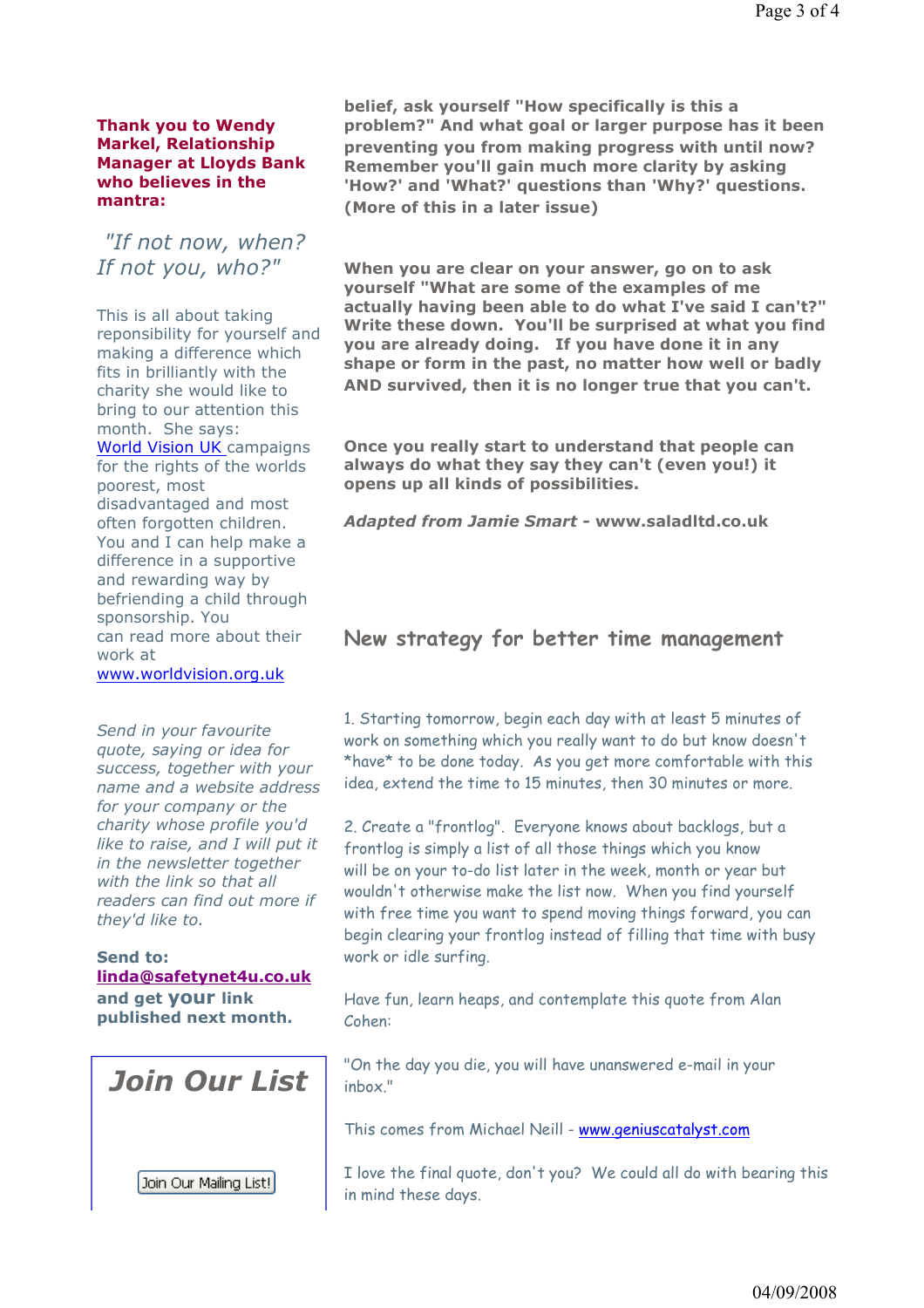#### Thank you to Wendy Markel, Relationship Manager at Lloyds Bank who believes in the mantra:

 "If not now, when? If not you, who?"

This is all about taking reponsibility for yourself and making a difference which fits in brilliantly with the charity she would like to bring to our attention this month. She says: World Vision UK campaigns for the rights of the worlds poorest, most disadvantaged and most often forgotten children. You and I can help make a difference in a supportive and rewarding way by befriending a child through sponsorship. You can read more about their work at

www.worldvision.org.uk

Send in your favourite quote, saying or idea for success, together with your name and a website address for your company or the charity whose profile you'd like to raise, and I will put it in the newsletter together with the link so that all readers can find out more if they'd like to.

#### Send to: linda@safetynet4u.co.uk

and get your link published next month.

Join Our List



belief, ask yourself "How specifically is this a problem?" And what goal or larger purpose has it been preventing you from making progress with until now? Remember you'll gain much more clarity by asking 'How?' and 'What?' questions than 'Why?' questions. (More of this in a later issue)

When you are clear on your answer, go on to ask yourself "What are some of the examples of me actually having been able to do what I've said I can't?" Write these down. You'll be surprised at what you find you are already doing. If you have done it in any shape or form in the past, no matter how well or badly AND survived, then it is no longer true that you can't.

Once you really start to understand that people can always do what they say they can't (even you!) it opens up all kinds of possibilities.

Adapted from Jamie Smart - www.saladltd.co.uk

#### New strategy for better time management

1. Starting tomorrow, begin each day with at least 5 minutes of work on something which you really want to do but know doesn't \*have\* to be done today. As you get more comfortable with this idea, extend the time to 15 minutes, then 30 minutes or more.

2. Create a "frontlog". Everyone knows about backlogs, but a frontlog is simply a list of all those things which you know will be on your to-do list later in the week, month or year but wouldn't otherwise make the list now. When you find yourself with free time you want to spend moving things forward, you can begin clearing your frontlog instead of filling that time with busy work or idle surfing.

Have fun, learn heaps, and contemplate this quote from Alan Cohen:

"On the day you die, you will have unanswered e-mail in your inbox."

This comes from Michael Neill - www.geniuscatalyst.com

I love the final quote, don't you? We could all do with bearing this in mind these days.